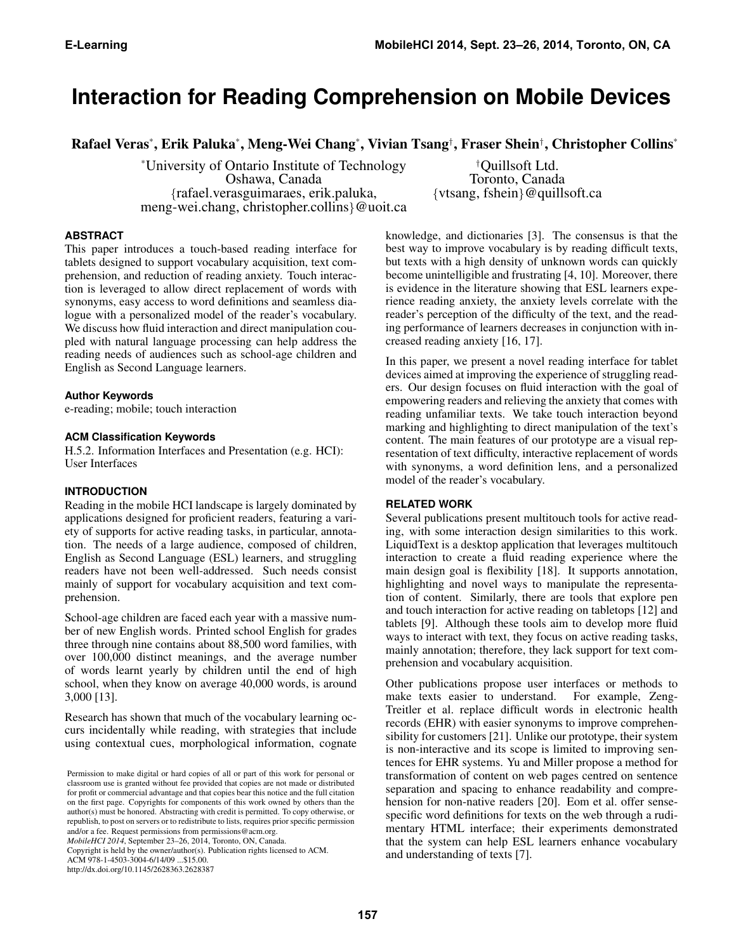# **Interaction for Reading Comprehension on Mobile Devices**

Rafael Veras\* , Erik Paluka\* , Meng-Wei Chang\* , Vivian Tsang† , Fraser Shein† , Christopher Collins\*

\*University of Ontario Institute of Technology †Quillsoft Ltd. Oshawa, Canada Toronto, Canada {rafael.verasguimaraes, erik.paluka, {vtsang, fshein}@quillsoft.ca meng-wei.chang, christopher.collins}@uoit.ca

#### **ABSTRACT**

This paper introduces a touch-based reading interface for tablets designed to support vocabulary acquisition, text comprehension, and reduction of reading anxiety. Touch interaction is leveraged to allow direct replacement of words with synonyms, easy access to word definitions and seamless dialogue with a personalized model of the reader's vocabulary. We discuss how fluid interaction and direct manipulation coupled with natural language processing can help address the reading needs of audiences such as school-age children and English as Second Language learners.

#### **Author Keywords**

e-reading; mobile; touch interaction

#### **ACM Classification Keywords**

H.5.2. Information Interfaces and Presentation (e.g. HCI): User Interfaces

#### **INTRODUCTION**

Reading in the mobile HCI landscape is largely dominated by applications designed for proficient readers, featuring a variety of supports for active reading tasks, in particular, annotation. The needs of a large audience, composed of children, English as Second Language (ESL) learners, and struggling readers have not been well-addressed. Such needs consist mainly of support for vocabulary acquisition and text comprehension.

School-age children are faced each year with a massive number of new English words. Printed school English for grades three through nine contains about 88,500 word families, with over 100,000 distinct meanings, and the average number of words learnt yearly by children until the end of high school, when they know on average 40,000 words, is around 3,000 [\[13\]](#page-4-0).

Research has shown that much of the vocabulary learning occurs incidentally while reading, with strategies that include using contextual cues, morphological information, cognate

*MobileHCI 2014*, September 23–26, 2014, Toronto, ON, Canada.

Copyright is held by the owner/author(s). Publication rights licensed to ACM.

ACM 978-1-4503-3004-6/14/09 ...\$15.00. http://dx.doi.org/10.1145/2628363.2628387 knowledge, and dictionaries [\[3\]](#page-4-1). The consensus is that the best way to improve vocabulary is by reading difficult texts, but texts with a high density of unknown words can quickly become unintelligible and frustrating [\[4,](#page-4-2) [10\]](#page-4-3). Moreover, there is evidence in the literature showing that ESL learners experience reading anxiety, the anxiety levels correlate with the reader's perception of the difficulty of the text, and the reading performance of learners decreases in conjunction with increased reading anxiety [\[16,](#page-4-4) [17\]](#page-4-5).

In this paper, we present a novel reading interface for tablet devices aimed at improving the experience of struggling readers. Our design focuses on fluid interaction with the goal of empowering readers and relieving the anxiety that comes with reading unfamiliar texts. We take touch interaction beyond marking and highlighting to direct manipulation of the text's content. The main features of our prototype are a visual representation of text difficulty, interactive replacement of words with synonyms, a word definition lens, and a personalized model of the reader's vocabulary.

#### **RELATED WORK**

Several publications present multitouch tools for active reading, with some interaction design similarities to this work. LiquidText is a desktop application that leverages multitouch interaction to create a fluid reading experience where the main design goal is flexibility [\[18\]](#page-4-6). It supports annotation, highlighting and novel ways to manipulate the representation of content. Similarly, there are tools that explore pen and touch interaction for active reading on tabletops [\[12\]](#page-4-7) and tablets [\[9\]](#page-4-8). Although these tools aim to develop more fluid ways to interact with text, they focus on active reading tasks, mainly annotation; therefore, they lack support for text comprehension and vocabulary acquisition.

Other publications propose user interfaces or methods to make texts easier to understand. For example, Zeng-Treitler et al. replace difficult words in electronic health records (EHR) with easier synonyms to improve comprehensibility for customers [\[21\]](#page-4-9). Unlike our prototype, their system is non-interactive and its scope is limited to improving sentences for EHR systems. Yu and Miller propose a method for transformation of content on web pages centred on sentence separation and spacing to enhance readability and compre-hension for non-native readers [\[20\]](#page-4-10). Eom et al. offer sensespecific word definitions for texts on the web through a rudimentary HTML interface; their experiments demonstrated that the system can help ESL learners enhance vocabulary and understanding of texts [\[7\]](#page-4-11).

Permission to make digital or hard copies of all or part of this work for personal or classroom use is granted without fee provided that copies are not made or distributed for profit or commercial advantage and that copies bear this notice and the full citation on the first page. Copyrights for components of this work owned by others than the author(s) must be honored. Abstracting with credit is permitted. To copy otherwise, or republish, to post on servers or to redistribute to lists, requires prior specific permission and/or a fee. Request permissions from permissions@acm.org.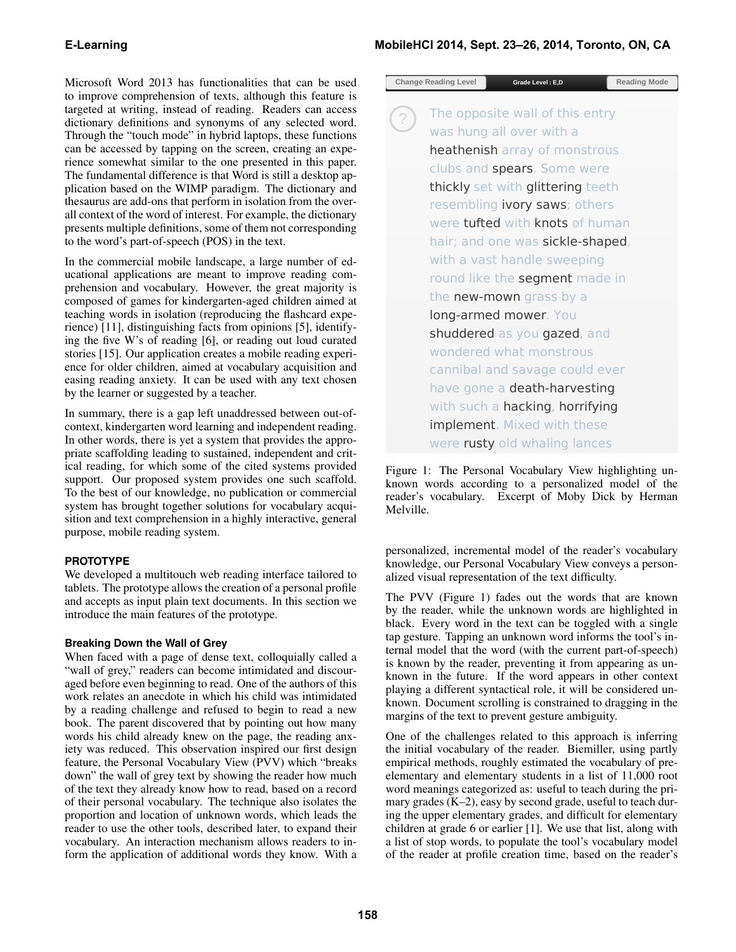Microsoft Word 2013 has functionalities that can be used to improve comprehension of texts, although this feature is targeted at writing, instead of reading. Readers can access dictionary definitions and synonyms of any selected word. Through the "touch mode" in hybrid laptops, these functions can be accessed by tapping on the screen, creating an experience somewhat similar to the one presented in this paper. The fundamental difference is that Word is still a desktop application based on the WIMP paradigm. The dictionary and thesaurus are add-ons that perform in isolation from the overall context of the word of interest. For example, the dictionary presents multiple definitions, some of them not corresponding to the word's part-of-speech (POS) in the text.

In the commercial mobile landscape, a large number of educational applications are meant to improve reading comprehension and vocabulary. However, the great majority is composed of games for kindergarten-aged children aimed at teaching words in isolation (reproducing the flashcard experience) [\[11\]](#page-4-12), distinguishing facts from opinions [\[5\]](#page-4-13), identifying the five W's of reading [\[6\]](#page-4-14), or reading out loud curated stories [\[15\]](#page-4-15). Our application creates a mobile reading experience for older children, aimed at vocabulary acquisition and easing reading anxiety. It can be used with any text chosen by the learner or suggested by a teacher.

In summary, there is a gap left unaddressed between out-ofcontext, kindergarten word learning and independent reading. In other words, there is yet a system that provides the appropriate scaffolding leading to sustained, independent and critical reading, for which some of the cited systems provided support. Our proposed system provides one such scaffold. To the best of our knowledge, no publication or commercial system has brought together solutions for vocabulary acquisition and text comprehension in a highly interactive, general purpose, mobile reading system.

#### **PROTOTYPE**

We developed a multitouch web reading interface tailored to tablets. The prototype allows the creation of a personal profile and accepts as input plain text documents. In this section we introduce the main features of the prototype.

#### **Breaking Down the Wall of Grey**

When faced with a page of dense text, colloquially called a "wall of grey," readers can become intimidated and discouraged before even beginning to read. One of the authors of this work relates an anecdote in which his child was intimidated by a reading challenge and refused to begin to read a new book. The parent discovered that by pointing out how many words his child already knew on the page, the reading anxiety was reduced. This observation inspired our first design feature, the Personal Vocabulary View (PVV) which "breaks down" the wall of grey text by showing the reader how much of the text they already know how to read, based on a record of their personal vocabulary. The technique also isolates the proportion and location of unknown words, which leads the reader to use the other tools, described later, to expand their vocabulary. An interaction mechanism allows readers to inform the application of additional words they know. With a

# <span id="page-1-0"></span>**Change Reading Level Grade Level : E,D Reading Mode**

The opposite wall of this entry was hung all over with a heathenish array of monstrous clubs and **spears**. Some were thickly set with glittering teeth resembling **ivory saws**; others were tufted with knots of human hair; and one was sickle-shaped, with a vast handle sweeping round like the segment made in the new-mown grass by a long-armed mower. You shuddered as you gazed, and wondered what monstrous cannibal and savage could ever have gone a death-harvesting with such a hacking, horrifying implement. Mixed with these were **rusty** old whaling lances ?)

Figure 1: The Personal Vocabulary View highlighting unknown words according to a personalized model of the reader's vocabulary. Excerpt of Moby Dick by Herman Melville.

personalized, incremental model of the reader's vocabulary knowledge, our Personal Vocabulary View conveys a personalized visual representation of the text difficulty.

The PVV (Figure [1\)](#page-1-0) fades out the words that are known by the reader, while the unknown words are highlighted in black. Every word in the text can be toggled with a single tap gesture. Tapping an unknown word informs the tool's internal model that the word (with the current part-of-speech) is known by the reader, preventing it from appearing as unknown in the future. If the word appears in other context playing a different syntactical role, it will be considered unknown. Document scrolling is constrained to dragging in the margins of the text to prevent gesture ambiguity.

One of the challenges related to this approach is inferring the initial vocabulary of the reader. Biemiller, using partly empirical methods, roughly estimated the vocabulary of preelementary and elementary students in a list of 11,000 root word meanings categorized as: useful to teach during the primary grades (K–2), easy by second grade, useful to teach during the upper elementary grades, and difficult for elementary children at grade 6 or earlier [\[1\]](#page-4-16). We use that list, along with a list of stop words, to populate the tool's vocabulary model of the reader at profile creation time, based on the reader's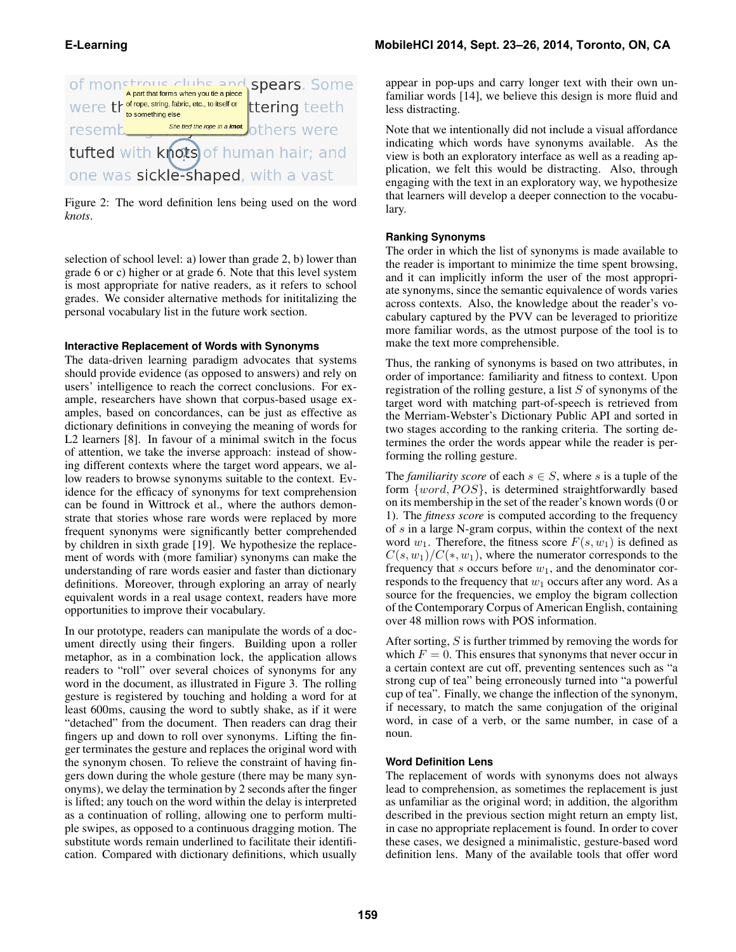<span id="page-2-0"></span>

|                                      | of monstrous clubs and spears. Some<br>A part that forms when you tie a piece |               |
|--------------------------------------|-------------------------------------------------------------------------------|---------------|
|                                      | Were $\mathsf{tr}\mathsf{h}$ of rope, string, fabric, etc., to itself or      | ttering teeth |
| <u>resemb__</u>                      | She tied the rope in a knot.                                                  | others were   |
| tufted with knots of human hair; and |                                                                               |               |
| one was sickle-shaped, with a vast   |                                                                               |               |

Figure 2: The word definition lens being used on the word *knots*.

selection of school level: a) lower than grade 2, b) lower than grade 6 or c) higher or at grade 6. Note that this level system is most appropriate for native readers, as it refers to school grades. We consider alternative methods for inititalizing the personal vocabulary list in the future work section.

#### **Interactive Replacement of Words with Synonyms**

The data-driven learning paradigm advocates that systems should provide evidence (as opposed to answers) and rely on users' intelligence to reach the correct conclusions. For example, researchers have shown that corpus-based usage examples, based on concordances, can be just as effective as dictionary definitions in conveying the meaning of words for L2 learners [\[8\]](#page-4-17). In favour of a minimal switch in the focus of attention, we take the inverse approach: instead of showing different contexts where the target word appears, we allow readers to browse synonyms suitable to the context. Evidence for the efficacy of synonyms for text comprehension can be found in Wittrock et al., where the authors demonstrate that stories whose rare words were replaced by more frequent synonyms were significantly better comprehended by children in sixth grade [\[19\]](#page-4-18). We hypothesize the replacement of words with (more familiar) synonyms can make the understanding of rare words easier and faster than dictionary definitions. Moreover, through exploring an array of nearly equivalent words in a real usage context, readers have more opportunities to improve their vocabulary.

In our prototype, readers can manipulate the words of a document directly using their fingers. Building upon a roller metaphor, as in a combination lock, the application allows readers to "roll" over several choices of synonyms for any word in the document, as illustrated in Figure [3.](#page-3-0) The rolling gesture is registered by touching and holding a word for at least 600ms, causing the word to subtly shake, as if it were "detached" from the document. Then readers can drag their fingers up and down to roll over synonyms. Lifting the finger terminates the gesture and replaces the original word with the synonym chosen. To relieve the constraint of having fingers down during the whole gesture (there may be many synonyms), we delay the termination by 2 seconds after the finger is lifted; any touch on the word within the delay is interpreted as a continuation of rolling, allowing one to perform multiple swipes, as opposed to a continuous dragging motion. The substitute words remain underlined to facilitate their identification. Compared with dictionary definitions, which usually

appear in pop-ups and carry longer text with their own unfamiliar words [\[14\]](#page-4-19), we believe this design is more fluid and less distracting.

Note that we intentionally did not include a visual affordance indicating which words have synonyms available. As the view is both an exploratory interface as well as a reading application, we felt this would be distracting. Also, through engaging with the text in an exploratory way, we hypothesize that learners will develop a deeper connection to the vocabulary.

#### **Ranking Synonyms**

The order in which the list of synonyms is made available to the reader is important to minimize the time spent browsing, and it can implicitly inform the user of the most appropriate synonyms, since the semantic equivalence of words varies across contexts. Also, the knowledge about the reader's vocabulary captured by the PVV can be leveraged to prioritize more familiar words, as the utmost purpose of the tool is to make the text more comprehensible.

Thus, the ranking of synonyms is based on two attributes, in order of importance: familiarity and fitness to context. Upon registration of the rolling gesture, a list  $S$  of synonyms of the target word with matching part-of-speech is retrieved from the Merriam-Webster's Dictionary Public API and sorted in two stages according to the ranking criteria. The sorting determines the order the words appear while the reader is performing the rolling gesture.

The *familiarity score* of each  $s \in S$ , where s is a tuple of the form  $\{word, POS\}$ , is determined straightforwardly based on its membership in the set of the reader's known words (0 or 1). The *fitness score* is computed according to the frequency of s in a large N-gram corpus, within the context of the next word  $w_1$ . Therefore, the fitness score  $F(s, w_1)$  is defined as  $C(s, w_1)/C(*, w_1)$ , where the numerator corresponds to the frequency that  $s$  occurs before  $w_1$ , and the denominator corresponds to the frequency that  $w_1$  occurs after any word. As a source for the frequencies, we employ the bigram collection of the Contemporary Corpus of American English, containing over 48 million rows with POS information.

After sorting, S is further trimmed by removing the words for which  $F = 0$ . This ensures that synonyms that never occur in a certain context are cut off, preventing sentences such as "a strong cup of tea" being erroneously turned into "a powerful cup of tea". Finally, we change the inflection of the synonym, if necessary, to match the same conjugation of the original word, in case of a verb, or the same number, in case of a noun.

#### **Word Definition Lens**

The replacement of words with synonyms does not always lead to comprehension, as sometimes the replacement is just as unfamiliar as the original word; in addition, the algorithm described in the previous section might return an empty list, in case no appropriate replacement is found. In order to cover these cases, we designed a minimalistic, gesture-based word definition lens. Many of the available tools that offer word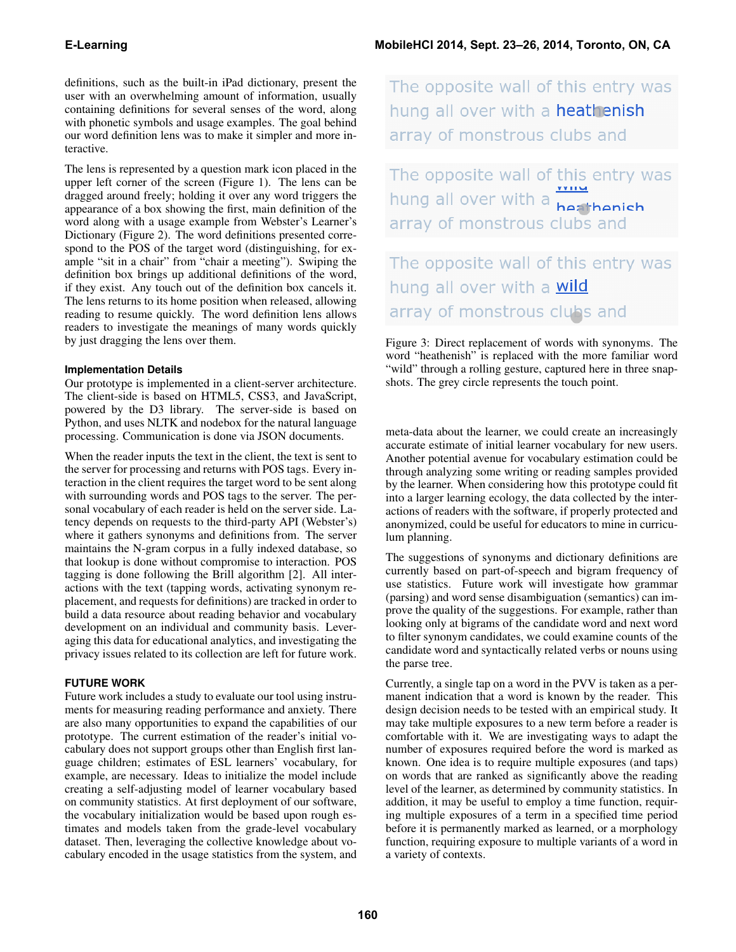definitions, such as the built-in iPad dictionary, present the user with an overwhelming amount of information, usually containing definitions for several senses of the word, along with phonetic symbols and usage examples. The goal behind our word definition lens was to make it simpler and more interactive.

The lens is represented by a question mark icon placed in the upper left corner of the screen (Figure [1\)](#page-1-0). The lens can be dragged around freely; holding it over any word triggers the appearance of a box showing the first, main definition of the word along with a usage example from Webster's Learner's Dictionary (Figure [2\)](#page-2-0). The word definitions presented correspond to the POS of the target word (distinguishing, for example "sit in a chair" from "chair a meeting"). Swiping the definition box brings up additional definitions of the word, if they exist. Any touch out of the definition box cancels it. The lens returns to its home position when released, allowing reading to resume quickly. The word definition lens allows readers to investigate the meanings of many words quickly by just dragging the lens over them.

#### **Implementation Details**

Our prototype is implemented in a client-server architecture. The client-side is based on HTML5, CSS3, and JavaScript, powered by the D3 library. The server-side is based on Python, and uses NLTK and nodebox for the natural language processing. Communication is done via JSON documents.

When the reader inputs the text in the client, the text is sent to the server for processing and returns with POS tags. Every interaction in the client requires the target word to be sent along with surrounding words and POS tags to the server. The personal vocabulary of each reader is held on the server side. Latency depends on requests to the third-party API (Webster's) where it gathers synonyms and definitions from. The server maintains the N-gram corpus in a fully indexed database, so that lookup is done without compromise to interaction. POS tagging is done following the Brill algorithm [\[2\]](#page-4-20). All interactions with the text (tapping words, activating synonym replacement, and requests for definitions) are tracked in order to build a data resource about reading behavior and vocabulary development on an individual and community basis. Leveraging this data for educational analytics, and investigating the privacy issues related to its collection are left for future work.

#### **FUTURE WORK**

Future work includes a study to evaluate our tool using instruments for measuring reading performance and anxiety. There are also many opportunities to expand the capabilities of our prototype. The current estimation of the reader's initial vocabulary does not support groups other than English first language children; estimates of ESL learners' vocabulary, for example, are necessary. Ideas to initialize the model include creating a self-adjusting model of learner vocabulary based on community statistics. At first deployment of our software, the vocabulary initialization would be based upon rough estimates and models taken from the grade-level vocabulary dataset. Then, leveraging the collective knowledge about vocabulary encoded in the usage statistics from the system, and <span id="page-3-0"></span>The opposite wall of this entry was hung all over with a **heathenish** array of monstrous clubs and

The opposite wall of this entry was<br>hung all over with a  $\frac{v_{\text{max}}}{h}$ array of monstrous clubs and

## The opposite wall of this entry was hung all over with a **wild** array of monstrous clubs and

Figure 3: Direct replacement of words with synonyms. The word "heathenish" is replaced with the more familiar word "wild" through a rolling gesture, captured here in three snapshots. The grey circle represents the touch point.

meta-data about the learner, we could create an increasingly accurate estimate of initial learner vocabulary for new users. Another potential avenue for vocabulary estimation could be through analyzing some writing or reading samples provided by the learner. When considering how this prototype could fit into a larger learning ecology, the data collected by the interactions of readers with the software, if properly protected and anonymized, could be useful for educators to mine in curriculum planning.

The suggestions of synonyms and dictionary definitions are currently based on part-of-speech and bigram frequency of use statistics. Future work will investigate how grammar (parsing) and word sense disambiguation (semantics) can improve the quality of the suggestions. For example, rather than looking only at bigrams of the candidate word and next word to filter synonym candidates, we could examine counts of the candidate word and syntactically related verbs or nouns using the parse tree.

Currently, a single tap on a word in the PVV is taken as a permanent indication that a word is known by the reader. This design decision needs to be tested with an empirical study. It may take multiple exposures to a new term before a reader is comfortable with it. We are investigating ways to adapt the number of exposures required before the word is marked as known. One idea is to require multiple exposures (and taps) on words that are ranked as significantly above the reading level of the learner, as determined by community statistics. In addition, it may be useful to employ a time function, requiring multiple exposures of a term in a specified time period before it is permanently marked as learned, or a morphology function, requiring exposure to multiple variants of a word in a variety of contexts.